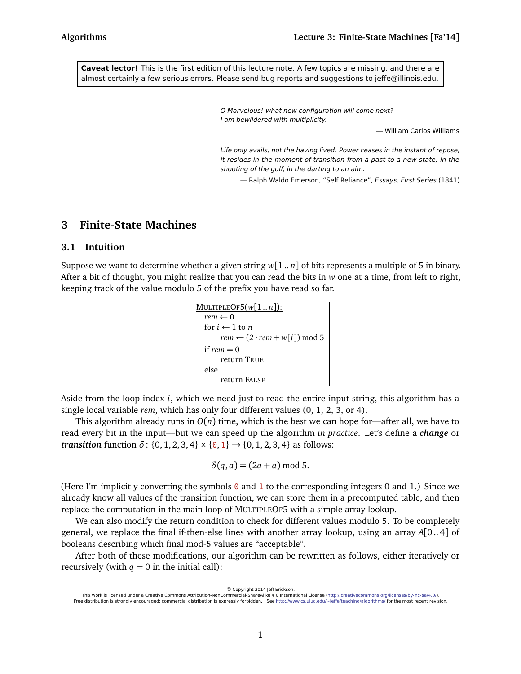**Caveat lector!** This is the first edition of this lecture note. A few topics are missing, and there are almost certainly a few serious errors. Please send bug reports and suggestions to jeffe@illinois.edu.

> O Marvelous! what new configuration will come next? I am bewildered with multiplicity.

> > — William Carlos Williams

Life only avails, not the having lived. Power ceases in the instant of repose; it resides in the moment of transition from a past to a new state, in the shooting of the gulf, in the darting to an aim.

— Ralph Waldo Emerson, "Self Reliance", Essays, First Series (1841)

# **3 Finite-State Machines**

#### **3.1 Intuition**

Suppose we want to determine whether a given string *w*[1 .. *n*] of bits represents a multiple of 5 in binary. After a bit of thought, you might realize that you can read the bits in *w* one at a time, from left to right, keeping track of the value modulo 5 of the prefix you have read so far.

```
MULTIPLEOF5(w[1 .. n]):
  rem \leftarrow 0for i \leftarrow 1 to n
        rem \leftarrow (2 \cdot rem + w[i]) \text{ mod } 5if rem = 0return TRUE
  else
        return FALSE
```
Aside from the loop index *i*, which we need just to read the entire input string, this algorithm has a single local variable *rem*, which has only four different values (0, 1, 2, 3, or 4).

This algorithm already runs in  $O(n)$  time, which is the best we can hope for—after all, we have to read every bit in the input—but we can speed up the algorithm *in practice*. Let's define a *change* or *transition* function  $\delta$ : {0, 1, 2, 3, 4}  $\times$  {0, 1}  $\rightarrow$  {0, 1, 2, 3, 4} as follows:

$$
\delta(q, a) = (2q + a) \bmod 5.
$$

(Here I'm implicitly converting the symbols  $\theta$  and 1 to the corresponding integers 0 and 1.) Since we already know all values of the transition function, we can store them in a precomputed table, and then replace the computation in the main loop of MULTIPLEOF5 with a simple array lookup.

We can also modify the return condition to check for different values modulo 5. To be completely general, we replace the final if-then-else lines with another array lookup, using an array *A*[0..4] of booleans describing which final mod-5 values are "acceptable".

After both of these modifications, our algorithm can be rewritten as follows, either iteratively or recursively (with  $q = 0$  in the initial call):

© Copyright 2014 Jeff Erickson.

This work is licensed under a Creative Commons Attribution-NonCommercial-ShareAlike 4.0 International License [\(http://creativecommons.org/licenses/by-nc-sa/4.0/\)](http://creativecommons.org/licenses/by-nc-sa/4.0/). Free distribution is strongly encouraged; commercial distribution is expressly forbidden. See <http://www.cs.uiuc.edu/~jeffe/teaching/algorithms/> for the most recent revision.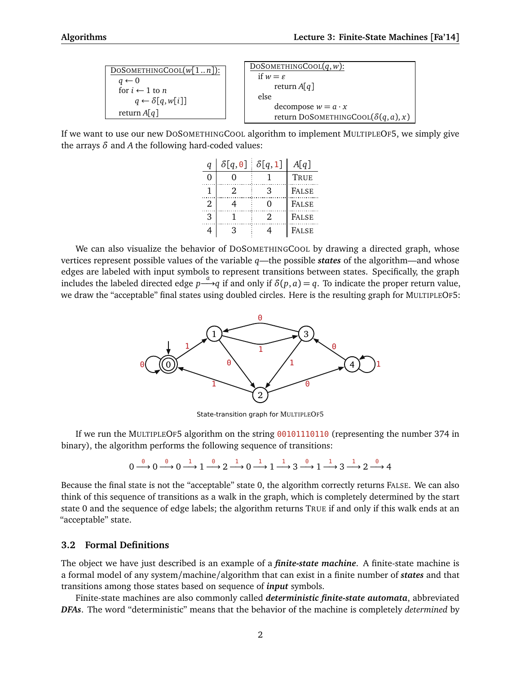| $DoSOMETHINGCOOL(w[1n])$ :     | DOSOMETHINGCOOL $(q, w)$ :                  |
|--------------------------------|---------------------------------------------|
| $q \leftarrow 0$               | if $w = \varepsilon$                        |
| for $i \leftarrow 1$ to n      | return $A[q]$                               |
| $q \leftarrow \delta[q, w[i]]$ | else                                        |
| return $A[q]$                  | decompose $w = a \cdot x$                   |
|                                | return DOSOMETHINGCOOL( $\delta(q, a), x$ ) |

If we want to use our new DOSOMETHINGCOOL algorithm to implement MULTIPLEOF5, we simply give the arrays *δ* and *A* the following hard-coded values:

| q | $\delta[q,0] \delta[q,1]$ |    | A[q]         |
|---|---------------------------|----|--------------|
| 0 |                           |    | TRUE         |
|   | 2                         | 3  | <b>FALSE</b> |
| 2 |                           |    | <b>FALSE</b> |
| 3 |                           | 2. | <b>FALSE</b> |
|   |                           |    | <b>FALSE</b> |

We can also visualize the behavior of DOSOMETHINGCOOL by drawing a directed graph, whose vertices represent possible values of the variable *q*—the possible *states* of the algorithm—and whose edges are labeled with input symbols to represent transitions between states. Specifically, the graph includes the labeled directed edge  $p \stackrel{a}{\longrightarrow} q$  if and only if  $\delta(p, a) = q$ . To indicate the proper return value, we draw the "acceptable" final states using doubled circles. Here is the resulting graph for MULTIPLEOF5:



State-transition graph for MULTIPLEOF5

If we run the MULTIPLEOF5 algorithm on the string 00101110110 (representing the number 374 in binary), the algorithm performs the following sequence of transitions:

$$
0\overset{\theta}{\longrightarrow} 0\overset{\theta}{\longrightarrow} 0\overset{1}{\longrightarrow} 1\overset{\theta}{\longrightarrow} 2\overset{1}{\longrightarrow} 0\overset{1}{\longrightarrow} 1\overset{1}{\longrightarrow} 3\overset{\theta}{\longrightarrow} 1\overset{1}{\longrightarrow} 3\overset{1}{\longrightarrow} 2\overset{\theta}{\longrightarrow} 4
$$

Because the final state is not the "acceptable" state 0, the algorithm correctly returns FALSE. We can also think of this sequence of transitions as a walk in the graph, which is completely determined by the start state 0 and the sequence of edge labels; the algorithm returns TRUE if and only if this walk ends at an "acceptable" state.

### **3.2 Formal Definitions**

The object we have just described is an example of a *finite-state machine*. A finite-state machine is a formal model of any system/machine/algorithm that can exist in a finite number of *states* and that transitions among those states based on sequence of *input* symbols.

Finite-state machines are also commonly called *deterministic finite-state automata*, abbreviated *DFAs*. The word "deterministic" means that the behavior of the machine is completely *determined* by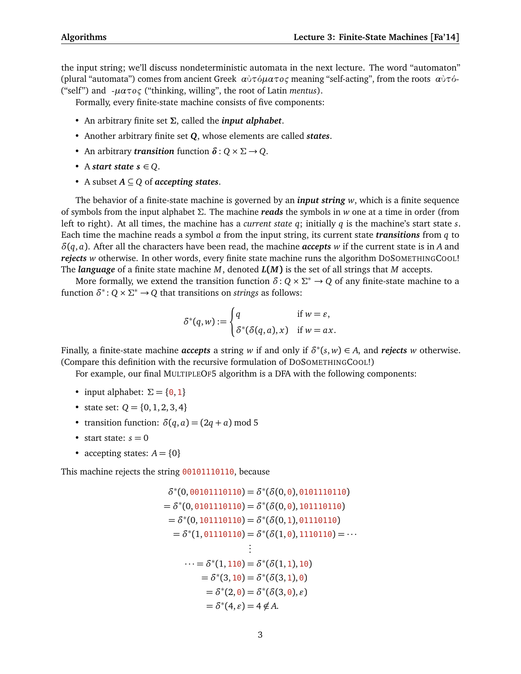the input string; we'll discuss nondeterministic automata in the next lecture. The word "automaton" (plural "automata") comes from ancient Greek *α*ὐ*τ*ό*µατoς* meaning "self-acting", from the roots *α*ὐ*τ*ό- ("self") and -*µατoς* ("thinking, willing", the root of Latin *mentus*).

Formally, every finite-state machine consists of five components:

- An arbitrary finite set *Σ*, called the *input alphabet*.
- Another arbitrary finite set *Q*, whose elements are called *states*.
- An arbitrary *transition* function  $\delta$ :  $Q \times \Sigma \rightarrow Q$ .
- A *start state*  $s \in Q$ .
- A subset *A* ⊆ *Q* of *accepting states*.

The behavior of a finite-state machine is governed by an *input string w*, which is a finite sequence of symbols from the input alphabet *Σ*. The machine *reads* the symbols in *w* one at a time in order (from left to right). At all times, the machine has a *current state q*; initially *q* is the machine's start state *s*. Each time the machine reads a symbol *a* from the input string, its current state *transitions* from *q* to *δ*(*q*, *a*). After all the characters have been read, the machine *accepts w* if the current state is in *A* and *rejects w* otherwise. In other words, every finite state machine runs the algorithm DOSOMETHINGCOOL! The *language* of a finite state machine *M*, denoted *L***(***M***)** is the set of all strings that *M* accepts.

More formally, we extend the transition function  $\delta: Q \times \Sigma^* \to Q$  of any finite-state machine to a function  $\delta^*$ :  $Q \times \Sigma^* \rightarrow Q$  that transitions on *strings* as follows:

$$
\delta^*(q, w) := \begin{cases} q & \text{if } w = \varepsilon, \\ \delta^*(\delta(q, a), x) & \text{if } w = ax. \end{cases}
$$

Finally, a finite-state machine *accepts* a string *w* if and only if *δ* ∗ (*s*, *w*) ∈ *A*, and *rejects w* otherwise. (Compare this definition with the recursive formulation of DOSOMETHINGCOOL!)

For example, our final MULTIPLEOF5 algorithm is a DFA with the following components:

- input alphabet:  $\Sigma = \{0, 1\}$
- state set:  $Q = \{0, 1, 2, 3, 4\}$
- transition function:  $\delta(q, a) = (2q + a) \text{ mod } 5$
- start state:  $s = 0$
- accepting states:  $A = \{0\}$

This machine rejects the string 00101110110, because

$$
\delta^*(0, 00101110110) = \delta^*(\delta(0, 0), 0101110110)
$$
  
\n
$$
= \delta^*(0, 0101110110) = \delta^*(\delta(0, 0), 101110110)
$$
  
\n
$$
= \delta^*(0, 101110110) = \delta^*(\delta(0, 1), 01110110)
$$
  
\n
$$
= \delta^*(1, 01110110) = \delta^*(\delta(1, 0), 1110110) = \cdots
$$
  
\n
$$
\vdots
$$
  
\n
$$
\cdots = \delta^*(1, 110) = \delta^*(\delta(1, 1), 10)
$$
  
\n
$$
= \delta^*(3, 10) = \delta^*(\delta(3, 1), 0)
$$
  
\n
$$
= \delta^*(2, 0) = \delta^*(\delta(3, 0), \varepsilon)
$$
  
\n
$$
= \delta^*(4, \varepsilon) = 4 \notin A.
$$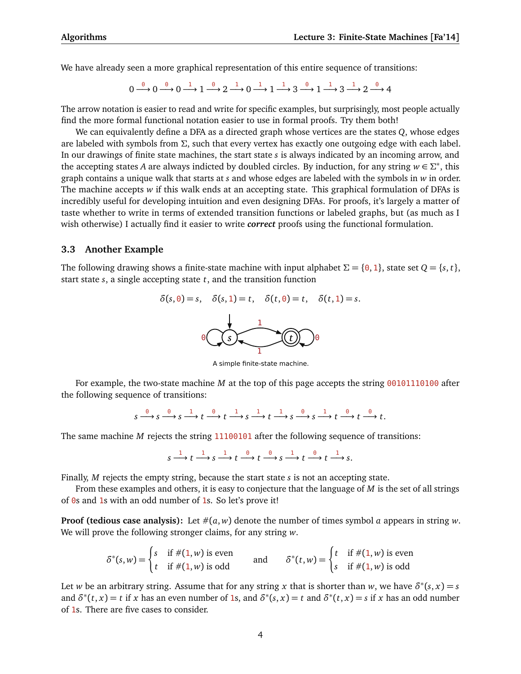We have already seen a more graphical representation of this entire sequence of transitions:

$$
0 \xrightarrow{\theta} 0 \xrightarrow{\theta} 0 \xrightarrow{1} 1 \xrightarrow{\theta} 2 \xrightarrow{1} 0 \xrightarrow{1} 1 \xrightarrow{1} 3 \xrightarrow{\theta} 1 \xrightarrow{1} 3 \xrightarrow{1} 2 \xrightarrow{\theta} 4
$$

The arrow notation is easier to read and write for specific examples, but surprisingly, most people actually find the more formal functional notation easier to use in formal proofs. Try them both!

We can equivalently define a DFA as a directed graph whose vertices are the states *Q*, whose edges are labeled with symbols from *Σ*, such that every vertex has exactly one outgoing edge with each label. In our drawings of finite state machines, the start state *s* is always indicated by an incoming arrow, and the accepting states *A* are always indicted by doubled circles. By induction, for any string  $w \in \Sigma^*$ , this graph contains a unique walk that starts at *s* and whose edges are labeled with the symbols in *w* in order. The machine accepts *w* if this walk ends at an accepting state. This graphical formulation of DFAs is incredibly useful for developing intuition and even designing DFAs. For proofs, it's largely a matter of taste whether to write in terms of extended transition functions or labeled graphs, but (as much as I wish otherwise) I actually find it easier to write *correct* proofs using the functional formulation.

#### **3.3 Another Example**

The following drawing shows a finite-state machine with input alphabet  $\Sigma = \{0, 1\}$ , state set  $Q = \{s, t\}$ , start state *s*, a single accepting state *t*, and the transition function

$$
\delta(s, \theta) = s, \quad \delta(s, 1) = t, \quad \delta(t, \theta) = t, \quad \delta(t, 1) = s.
$$

A simple finite-state machine.

For example, the two-state machine *M* at the top of this page accepts the string 00101110100 after the following sequence of transitions:

$$
s \xrightarrow{\theta} s \xrightarrow{\theta} s \xrightarrow{1} t \xrightarrow{\theta} t \xrightarrow{1} s \xrightarrow{1} t \xrightarrow{1} s \xrightarrow{\theta} s \xrightarrow{1} t \xrightarrow{\theta} t \xrightarrow{\theta} t.
$$

The same machine *M* rejects the string 11100101 after the following sequence of transitions:

 $s \xrightarrow{1} t \xrightarrow{1} s \xrightarrow{1} t \xrightarrow{0} t \xrightarrow{0} s \xrightarrow{1} t \xrightarrow{0} t \xrightarrow{1} s.$ 

Finally, *M* rejects the empty string, because the start state *s* is not an accepting state.

From these examples and others, it is easy to conjecture that the language of *M* is the set of all strings of  $\theta$ s and 1s with an odd number of 1s. So let's prove it!

**Proof (tedious case analysis):** Let  $\#(a, w)$  denote the number of times symbol *a* appears in string *w*. We will prove the following stronger claims, for any string *w*.

$$
\delta^*(s, w) = \begin{cases} s & \text{if } \#(1, w) \text{ is even} \\ t & \text{if } \#(1, w) \text{ is odd} \end{cases} \quad \text{and} \quad \delta^*(t, w) = \begin{cases} t & \text{if } \#(1, w) \text{ is even} \\ s & \text{if } \#(1, w) \text{ is odd} \end{cases}
$$

Let *w* be an arbitrary string. Assume that for any string *x* that is shorter than *w*, we have  $\delta^*(s, x) = s$ and  $\delta^*(t, x) = t$  if *x* has an even number of 1s, and  $\delta^*(s, x) = t$  and  $\delta^*(t, x) = s$  if *x* has an odd number of 1s. There are five cases to consider.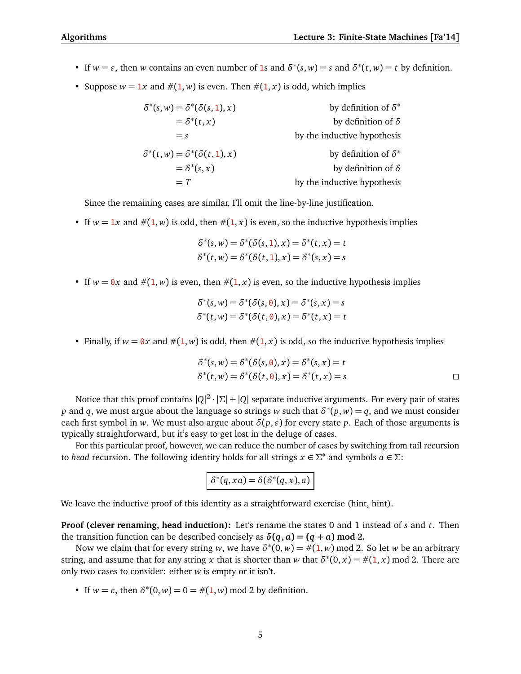- If  $w = \varepsilon$ , then *w* contains an even number of 1s and  $\delta^*(s, w) = s$  and  $\delta^*(t, w) = t$  by definition.
- Suppose  $w = 1x$  and  $\#(1, w)$  is even. Then  $\#(1, x)$  is odd, which implies

| by definition of $\delta^*$ | $\delta^*(s, w) = \delta^*(\delta(s, 1), x)$ |
|-----------------------------|----------------------------------------------|
| by definition of $\delta$   | $=\delta^*(t,x)$                             |
| by the inductive hypothesis | $=$ s                                        |
| by definition of $\delta^*$ | $\delta^*(t, w) = \delta^*(\delta(t, 1), x)$ |
| by definition of $\delta$   | $=\delta^*(s,x)$                             |
| by the inductive hypothesis | $= T$                                        |

Since the remaining cases are similar, I'll omit the line-by-line justification.

• If  $w = 1x$  and  $\#(1, w)$  is odd, then  $\#(1, x)$  is even, so the inductive hypothesis implies

$$
\delta^*(s, w) = \delta^*(\delta(s, 1), x) = \delta^*(t, x) = t
$$
  

$$
\delta^*(t, w) = \delta^*(\delta(t, 1), x) = \delta^*(s, x) = s
$$

• If  $w = 0x$  and  $\#(1, w)$  is even, then  $\#(1, x)$  is even, so the inductive hypothesis implies

$$
\delta^*(s, w) = \delta^*(\delta(s, \theta), x) = \delta^*(s, x) = s
$$
  

$$
\delta^*(t, w) = \delta^*(\delta(t, \theta), x) = \delta^*(t, x) = t
$$

• Finally, if  $w = 0x$  and  $\#(1, w)$  is odd, then  $\#(1, x)$  is odd, so the inductive hypothesis implies

$$
\delta^*(s, w) = \delta^*(\delta(s, 0), x) = \delta^*(s, x) = t
$$
  

$$
\delta^*(t, w) = \delta^*(\delta(t, 0), x) = \delta^*(t, x) = s
$$

Notice that this proof contains |*Q*| 2 · |*Σ*| + |*Q*| separate inductive arguments. For every pair of states *p* and *q*, we must argue about the language so strings *w* such that  $\delta^*(p, w) = q$ , and we must consider each first symbol in *w*. We must also argue about  $\delta(p, \varepsilon)$  for every state *p*. Each of those arguments is typically straightforward, but it's easy to get lost in the deluge of cases.

For this particular proof, however, we can reduce the number of cases by switching from tail recursion to *head* recursion. The following identity holds for all strings  $x \in \Sigma^*$  and symbols  $a \in \Sigma$ :

$$
\delta^*(q,xa) = \delta(\delta^*(q,x),a)
$$

We leave the inductive proof of this identity as a straightforward exercise (hint, hint).

**Proof (clever renaming, head induction):** Let's rename the states 0 and 1 instead of *s* and *t*. Then the transition function can be described concisely as  $\delta(q, a) = (q + a) \text{ mod } 2$ .

Now we claim that for every string *w*, we have  $\delta^*(0, w) = \#(1, w)$  mod 2. So let *w* be an arbitrary string, and assume that for any string *x* that is shorter than *w* that  $\delta^*(0, x) = \#(1, x) \text{ mod } 2$ . There are only two cases to consider: either *w* is empty or it isn't.

• If  $w = \varepsilon$ , then  $\delta^*(0, w) = 0 = \#(1, w) \text{ mod } 2$  by definition.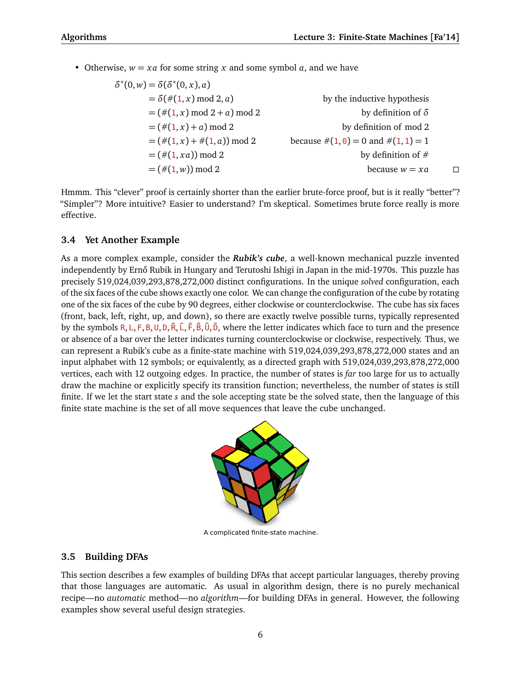• Otherwise,  $w = xa$  for some string x and some symbol a, and we have

$$
\delta^{*}(0, w) = \delta(\delta^{*}(0, x), a)
$$
  
\n
$$
= \delta(\#(1, x) \text{ mod } 2, a)
$$
  
\n
$$
= (\#(1, x) \text{ mod } 2 + a) \text{ mod } 2
$$
  
\n
$$
= (\#(1, x) + a) \text{ mod } 2
$$
  
\n
$$
= (\#(1, x) + \#(1, a)) \text{ mod } 2
$$
  
\n
$$
= (\#(1, xa) \text{ mod } 2)
$$
  
\n
$$
= (\#(1, wa) \text{ mod } 2)
$$
  
\n
$$
= (\#(1, w) \text{ mod } 2)
$$
  
\n
$$
= (\#(1, w) \text{ mod } 2)
$$
  
\n
$$
= (\#(1, w) \text{ mod } 2)
$$
  
\n
$$
= (\#(1, w) \text{ mod } 2)
$$
  
\n
$$
= (\#(1, w) \text{ mod } 2)
$$
  
\n
$$
= (\#(1, w) \text{ mod } 2)
$$
  
\n
$$
= (\#(1, w) \text{ mod } 2)
$$
  
\n
$$
= (\#(1, w) \text{ mod } 2)
$$
  
\n
$$
= (\#(1, w) \text{ mod } 2)
$$
  
\n
$$
= (\#(1, w) \text{ mod } 2)
$$
  
\n
$$
= (\#(1, w) \text{ mod } 2)
$$
  
\n
$$
= (\#(1, w) \text{ mod } 2)
$$
  
\n
$$
= (\#(1, w) \text{ mod } 2)
$$
  
\n
$$
= (\#(1, w) \text{ mod } 2)
$$
  
\n
$$
= (\#(1, w) \text{ mod } 2)
$$
  
\n
$$
= (\#(1, w) \text{ mod } 2)
$$
  
\n
$$
= (\#(1, w) \text{ mod } 2)
$$
  
\n
$$
= (\#(1, w) \text{ mod } 2)
$$
  
\n
$$
= (\#(1, w) \text{ mod } 2)
$$
  
\n
$$
= (\#(1, w) \text{ mod } 2)
$$
  
\n<math display="block</math>

Hmmm. This "clever" proof is certainly shorter than the earlier brute-force proof, but is it really "better"? "Simpler"? More intuitive? Easier to understand? I'm skeptical. Sometimes brute force really is more effective.

# **3.4 Yet Another Example**

As a more complex example, consider the *Rubik's cube*, a well-known mechanical puzzle invented independently by Ernő Rubik in Hungary and Terutoshi Ishigi in Japan in the mid-1970s. This puzzle has precisely 519,024,039,293,878,272,000 distinct configurations. In the unique *solved* configuration, each of the six faces of the cube shows exactly one color. We can change the configuration of the cube by rotating one of the six faces of the cube by 90 degrees, either clockwise or counterclockwise. The cube has six faces (front, back, left, right, up, and down), so there are exactly twelve possible turns, typically represented by the symbols R, L, F, B, U, D, R, L, F, B, U, D, Where the letter indicates which face to turn and the presence or absence of a bar over the letter indicates turning counterclockwise or clockwise, respectively. Thus, we can represent a Rubik's cube as a finite-state machine with 519,024,039,293,878,272,000 states and an input alphabet with 12 symbols; or equivalently, as a directed graph with 519,024,039,293,878,272,000 vertices, each with 12 outgoing edges. In practice, the number of states is *far* too large for us to actually draw the machine or explicitly specify its transition function; nevertheless, the number of states is still finite. If we let the start state *s* and the sole accepting state be the solved state, then the language of this finite state machine is the set of all move sequences that leave the cube unchanged.



A complicated finite-state machine.

# **3.5 Building DFAs**

This section describes a few examples of building DFAs that accept particular languages, thereby proving that those languages are automatic. As usual in algorithm design, there is no purely mechanical recipe—no *automatic* method—no *algorithm*—for building DFAs in general. However, the following examples show several useful design strategies.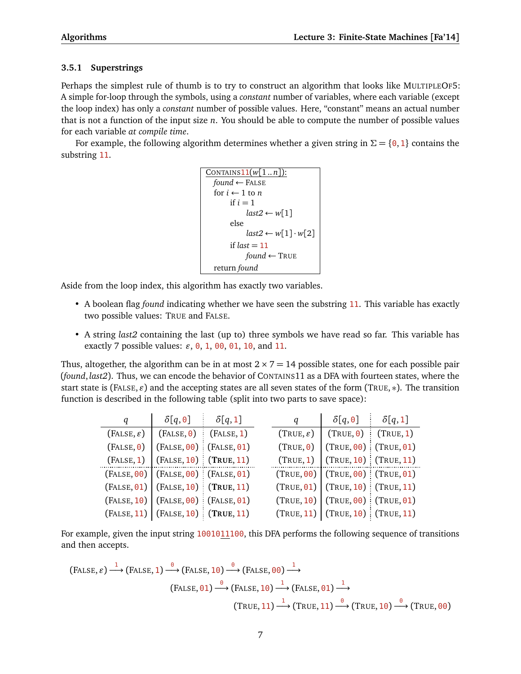# **3.5.1 Superstrings**

Perhaps the simplest rule of thumb is to try to construct an algorithm that looks like MULTIPLEOF5: A simple for-loop through the symbols, using a *constant* number of variables, where each variable (except the loop index) has only a *constant* number of possible values. Here, "constant" means an actual number that is not a function of the input size *n*. You should be able to compute the number of possible values for each variable *at compile time*.

For example, the following algorithm determines whether a given string in  $\Sigma = \{0, 1\}$  contains the substring 11.

```
CONTAINS11(w[1..n]):
  found ← FALSE
  for i \leftarrow 1 to n
      if i = 1last2 ← w[1]else
           last2 ← w[1] \cdot w[2]if last = 11found ← TRUE
  return found
```
Aside from the loop index, this algorithm has exactly two variables.

- A boolean flag *found* indicating whether we have seen the substring 11. This variable has exactly two possible values: TRUE and FALSE.
- A string *last2* containing the last (up to) three symbols we have read so far. This variable has exactly 7 possible values:  $\varepsilon$ ,  $\theta$ , 1,  $\theta$  $\theta$ ,  $\theta$ 1, 10, and 11.

Thus, altogether, the algorithm can be in at most  $2 \times 7 = 14$  possible states, one for each possible pair (*found*, *last2*). Thus, we can encode the behavior of CONTAINS11 as a DFA with fourteen states, where the start state is (FALSE,  $\varepsilon$ ) and the accepting states are all seven states of the form (TRUE, \*). The transition function is described in the following table (split into two parts to save space):

| q | $\delta[q,0]$                             | $\delta[q,1]$ | q                     | $\delta[q, \mathbf{0}]$                | $\delta[q,1]$ |
|---|-------------------------------------------|---------------|-----------------------|----------------------------------------|---------------|
|   | $(FALSE, \varepsilon)$ $( False, 0)$      | (FALSE, 1)    | $(TRUE, \varepsilon)$ | $(TRUE, 0)$ (TRUE, 1)                  |               |
|   | $(FALSE, 0)   (FALSE, 00)   (FALSE, 01)$  |               | (TRUE, 0)             | $(TRUE, 00)$ (TRUE, 01)                |               |
|   | (FALSE, 1)   (FALSE, 10)   (TRUE, 11)     |               |                       | $(TRUE, 1)$ $(TRUE, 10)$ $(TRUE, 11)$  |               |
|   | $(FALSE, 00)   (FALSE, 00)   (FALSE, 01)$ |               |                       | $(TRUE, 00)$ $(TRUE, 00)$ $(TRUE, 01)$ |               |
|   | $(FALSE, 01)   (FALSE, 10)   (TRUE, 11)$  |               |                       | $(TRUE, 01)$ $(TRUE, 10)$ $(TRUE, 11)$ |               |
|   | $(FALSE, 10)   (FALSE, 00)   (FALSE, 01)$ |               |                       | (TRUE, 10)   (TRUE, 00)   (TRUE, 01)   |               |
|   | $(FALSE, 11)   (FALSE, 10)   (TRUE, 11)$  |               |                       | (TRUE, 11)   (TRUE, 10)   (TRUE, 11)   |               |

For example, given the input string 1001011100, this DFA performs the following sequence of transitions and then accepts.

$$
\begin{aligned}\n\text{(FALSE, } \varepsilon) &\xrightarrow{1} \text{(FALSE, 1)} \xrightarrow{\theta} \text{(FALSE, 10)} \xrightarrow{\theta} \text{(FALSE, 00)} \xrightarrow{1} \\
\text{(FALSE, 01)} &\xrightarrow{\theta} \text{(FALSE, 10)} \xrightarrow{1} \text{(FALSE, 01)} \xrightarrow{1} \\
\text{(TRUE, 11)} &\xrightarrow{\theta} \text{(TRUE, 11)} \xrightarrow{\theta} \text{(TRUE, 10)} \xrightarrow{\theta} \text{(TRUE, 00)}\n\end{aligned}
$$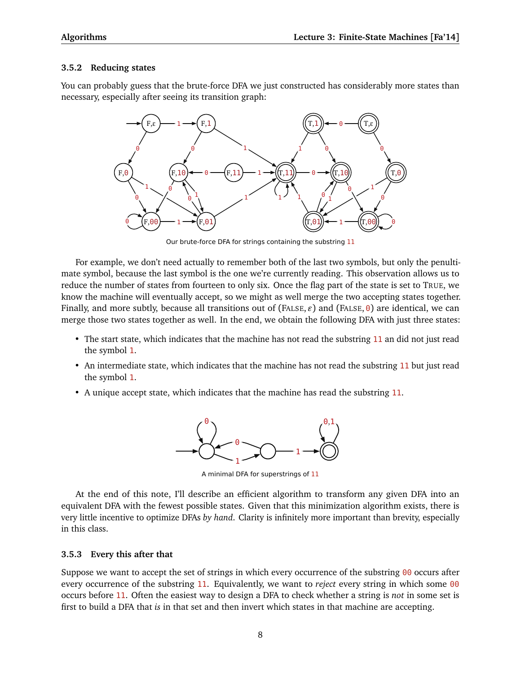### **3.5.2 Reducing states**

You can probably guess that the brute-force DFA we just constructed has considerably more states than necessary, especially after seeing its transition graph:



Our brute-force DFA for strings containing the substring 11

For example, we don't need actually to remember both of the last two symbols, but only the penultimate symbol, because the last symbol is the one we're currently reading. This observation allows us to reduce the number of states from fourteen to only six. Once the flag part of the state is set to TRUE, we know the machine will eventually accept, so we might as well merge the two accepting states together. Finally, and more subtly, because all transitions out of (FALSE,  $\varepsilon$ ) and (FALSE,  $\theta$ ) are identical, we can merge those two states together as well. In the end, we obtain the following DFA with just three states:

- The start state, which indicates that the machine has not read the substring 11 an did not just read the symbol 1.
- An intermediate state, which indicates that the machine has not read the substring 11 but just read the symbol 1.
- A unique accept state, which indicates that the machine has read the substring 11.



A minimal DFA for superstrings of 11

At the end of this note, I'll describe an efficient algorithm to transform any given DFA into an equivalent DFA with the fewest possible states. Given that this minimization algorithm exists, there is very little incentive to optimize DFAs *by hand*. Clarity is infinitely more important than brevity, especially in this class.

### **3.5.3 Every this after that**

Suppose we want to accept the set of strings in which every occurrence of the substring 00 occurs after every occurrence of the substring 11. Equivalently, we want to *reject* every string in which some 00 occurs before 11. Often the easiest way to design a DFA to check whether a string is *not* in some set is first to build a DFA that *is* in that set and then invert which states in that machine are accepting.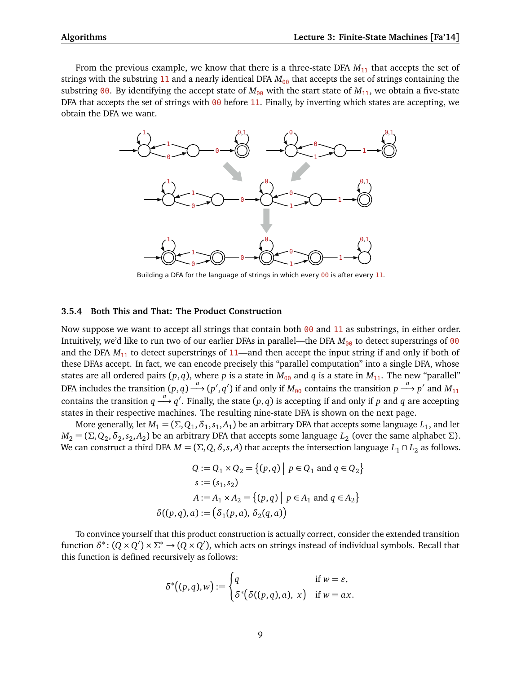From the previous example, we know that there is a three-state DFA  $M_{11}$  that accepts the set of strings with the substring 11 and a nearly identical DFA  $M_{00}$  that accepts the set of strings containing the substring 00. By identifying the accept state of  $M_{00}$  with the start state of  $M_{11}$ , we obtain a five-state DFA that accepts the set of strings with  $00$  before 11. Finally, by inverting which states are accepting, we obtain the DFA we want.



Building a DFA for the language of strings in which every 00 is after every 11.

## **3.5.4 Both This and That: The Product Construction**

Now suppose we want to accept all strings that contain both  $\theta\theta$  and 11 as substrings, in either order. Intuitively, we'd like to run two of our earlier DFAs in parallel—the DFA  $M_{00}$  to detect superstrings of 00 and the DFA  $M_{11}$  to detect superstrings of 11—and then accept the input string if and only if both of these DFAs accept. In fact, we can encode precisely this "parallel computation" into a single DFA, whose states are all ordered pairs  $(p, q)$ , where p is a state in  $M_{00}$  and q is a state in  $M_{11}$ . The new "parallel" DFA includes the transition  $(p,q) \stackrel{a}{\longrightarrow} (p',q')$  if and only if  $M_{00}$  contains the transition  $p \stackrel{a}{\longrightarrow} p'$  and  $M_{11}$ contains the transition  $q \stackrel{a}{\longrightarrow} q'$ . Finally, the state  $(p, q)$  is accepting if and only if *p* and *q* are accepting states in their respective machines. The resulting nine-state DFA is shown on the next page.

More generally, let  $M_1$  = ( $\Sigma, Q_1, \delta_1, s_1, A_1$ ) be an arbitrary DFA that accepts some language  $L_1$ , and let  $M_2$  = (Σ,Q<sub>2</sub>, $\delta_2$ , $s_2$ , $A_2$ ) be an arbitrary DFA that accepts some language  $L_2$  (over the same alphabet Σ). We can construct a third DFA  $M = (\Sigma, Q, \delta, s, A)$  that accepts the intersection language  $L_1 \cap L_2$  as follows.

$$
Q := Q_1 \times Q_2 = \{(p,q) \mid p \in Q_1 \text{ and } q \in Q_2\}
$$

$$
s := (s_1, s_2)
$$

$$
A := A_1 \times A_2 = \{(p,q) \mid p \in A_1 \text{ and } q \in A_2\}
$$

$$
\delta((p,q),a) := (\delta_1(p,a), \delta_2(q,a))
$$

To convince yourself that this product construction is actually correct, consider the extended transition function  $\delta^*$ :  $(Q \times Q') \times \Sigma^* \to (Q \times Q')$ , which acts on strings instead of individual symbols. Recall that this function is defined recursively as follows:

$$
\delta^*\big((p,q),w\big) := \begin{cases} q & \text{if } w = \varepsilon, \\ \delta^*\big(\delta((p,q),a), x\big) & \text{if } w = ax. \end{cases}
$$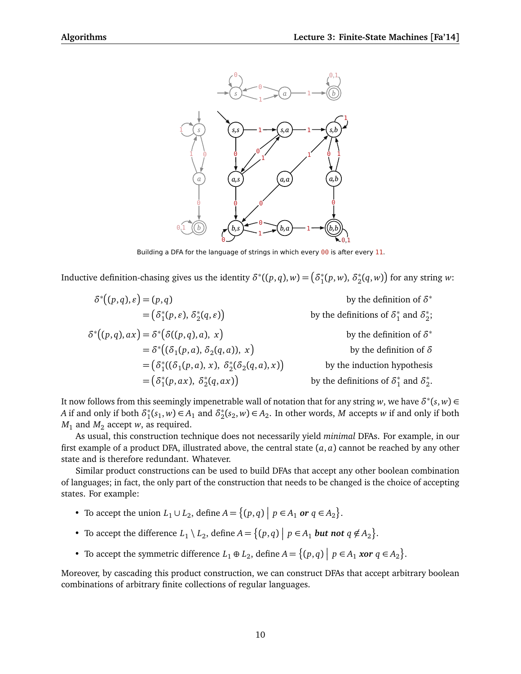

Building a DFA for the language of strings in which every 00 is after every 11.

Inductive definition-chasing gives us the identity  $\delta^*((p,q),w)$   $=$   $\big(\delta_1^*$  $i_1^*(p, w)$ ,  $\delta_2^*$  $\binom{2}{2}(q,w)$  for any string *w*:

$$
\delta^*(p,q), \varepsilon) = (p,q)
$$
\n
$$
= (\delta_1^*(p, \varepsilon), \delta_2^*(q, \varepsilon))
$$
\nby the definition of  $\delta^*$   
\nby the definitions of  $\delta_1^*$  and  $\delta_2^*$ ;  
\n
$$
\delta^*(p,q), ax) = \delta^*(\delta((p,q), a), x)
$$
\n
$$
= \delta^*(\delta_1(p, a), \delta_2(q, a)), x)
$$
\nby the definition of  $\delta^*$   
\nby the definition of  $\delta^*$   
\nby the definition of  $\delta^*$   
\nby the definition of  $\delta^*$   
\nby the definition of  $\delta$   
\nby the definition of  $\delta$   
\nby the definition of  $\delta$   
\nby the definition of  $\delta$   
\nby the definition of  $\delta$   
\nby the definition of  $\delta$   
\nby the definition of  $\delta$   
\nby the definition of  $\delta$   
\nby the definition of  $\delta$   
\nby the definition of  $\delta$   
\nby the definition of  $\delta$   
\nby the definition of  $\delta$   
\nby the definition of  $\delta_1^*$  and  $\delta_2^*$ .

It now follows from this seemingly impenetrable wall of notation that for any string  $w$ , we have  $\delta^*(s,w)$   $\in$ *A* if and only if both  $\delta_1^*$  $\chi_1^*(s_1, w) \in A_1$  and  $\delta_2^*$  $x_2^*(s_2, w)$  ∈ *A*<sub>2</sub>. In other words, *M* accepts *w* if and only if both  $M_1$  and  $M_2$  accept *w*, as required.

As usual, this construction technique does not necessarily yield *minimal* DFAs. For example, in our first example of a product DFA, illustrated above, the central state (*a*, *a*) cannot be reached by any other state and is therefore redundant. Whatever.

Similar product constructions can be used to build DFAs that accept any other boolean combination of languages; in fact, the only part of the construction that needs to be changed is the choice of accepting states. For example:

- To accept the union  $L_1 \cup L_2$ , define  $A = \{(p,q) | p \in A_1 \text{ or } q \in A_2\}.$
- To accept the difference  $L_1 \setminus L_2$ , define  $A = \{(p,q) \mid p \in A_1$  *but not*  $q \notin A_2\}$ .
- To accept the symmetric difference  $L_1 \oplus L_2$ , define  $A = \{(p, q) \mid p \in A_1 \text{ xor } q \in A_2\}.$

Moreover, by cascading this product construction, we can construct DFAs that accept arbitrary boolean combinations of arbitrary finite collections of regular languages.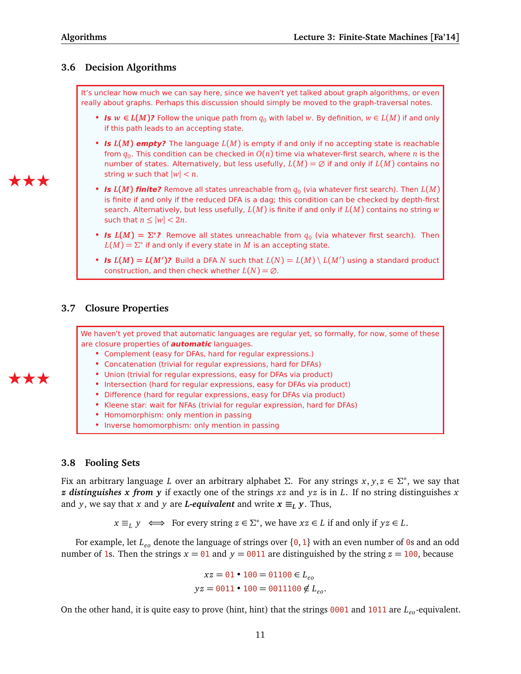# **3.6 Decision Algorithms**

It's unclear how much we can say here, since we haven't yet talked about graph algorithms, or even really about graphs. Perhaps this discussion should simply be moved to the graph-traversal notes.

- **Is**  $w \in L(M)$ ? Follow the unique path from  $q_0$  with label w. By definition,  $w \in L(M)$  if and only if this path leads to an accepting state.
- **Is** *L***(***M***) empty?** The language *L*(*M*) is empty if and only if no accepting state is reachable from  $q_0.$  This condition can be checked in  $O(n)$  time via whatever-first search, where  $n$  is the number of states. Alternatively, but less usefully,  $L(M) = \emptyset$  if and only if  $L(M)$  contains no string *w* such that  $|w| < n$ .
- **Is**  $L(M)$  **finite?** Remove all states unreachable from  $q_0$  (via whatever first search). Then  $L(M)$ is finite if and only if the reduced DFA is a dag; this condition can be checked by depth-first search. Alternatively, but less usefully, *L*(*M*) is finite if and only if *L*(*M*) contains no string *w* such that  $n \leq |w| < 2n$ .
- **Is**  $L(M) = \sum^*$ ? Remove all states unreachable from  $q_0$  (via whatever first search). Then  $L(M) = \Sigma^*$  if and only if every state in  $M$  is an accepting state.
- **Is**  $L(M) = L(M')$ ? Build a DFA N such that  $L(N) = L(M) \setminus L(M')$  using a standard product construction, and then check whether  $L(N) = \emptyset$ .

# **3.7 Closure Properties**

We haven't yet proved that automatic languages are regular yet, so formally, for now, some of these are closure properties of **automatic** languages.

- Complement (easy for DFAs, hard for regular expressions.)
- Concatenation (trivial for regular expressions, hard for DFAs)
- Union (trivial for regular expressions, easy for DFAs via product)
- Intersection (hard for regular expressions, easy for DFAs via product)
- Difference (hard for regular expressions, easy for DFAs via product)
- Kleene star: wait for NFAs (trivial for regular expression, hard for DFAs)
- Homomorphism: only mention in passing
- Inverse homomorphism: only mention in passing

# **3.8 Fooling Sets**

Fix an arbitrary language *L* over an arbitrary alphabet *Σ*. For any strings *x*, *y*, *z* ∈ *Σ* ∗ , we say that *z distinguishes x from y* if exactly one of the strings *xz* and *yz* is in *L*. If no string distinguishes *x* and *y*, we say that *x* and *y* are *L*-equivalent and write  $x \equiv_L y$ . Thus,

 $x \equiv_L y \iff$  For every string  $z \in \Sigma^*$ , we have  $xz \in L$  if and only if  $yz \in L$ .

For example, let *Leo* denote the language of strings over {0, <sup>1</sup>} with an even number of <sup>0</sup>s and an odd number of 1s. Then the strings  $x = 01$  and  $y = 0011$  are distinguished by the string  $z = 100$ , because

> $xz = 01 \cdot 100 = 01100 \in L_{eo}$  $yz = 0011 \cdot 100 = 0011100 \notin L_{eo}$ .

On the other hand, it is quite easy to prove (hint, hint) that the strings 0001 and 1011 are *Leo*-equivalent.

# ÆÆÆ

ÆÆÆ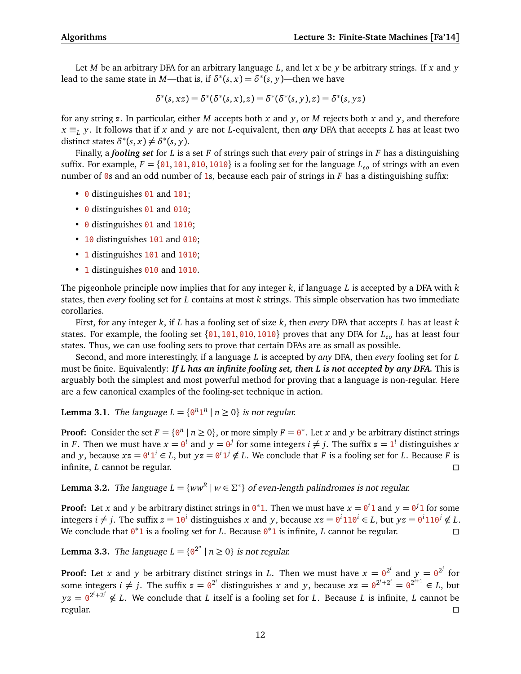Let *M* be an arbitrary DFA for an arbitrary language *L*, and let *x* be *y* be arbitrary strings. If *x* and *y* lead to the same state in *M*—that is, if  $\delta^*(s, x) = \delta^*(s, y)$ —then we have

$$
\delta^*(s,xz) = \delta^*(\delta^*(s,x),z) = \delta^*(\delta^*(s,y),z) = \delta^*(s,yz)
$$

for any string *z*. In particular, either *M* accepts both *x* and *y*, or *M* rejects both *x* and *y*, and therefore  $x \equiv_L y$ . It follows that if *x* and *y* are not *L*-equivalent, then *any* DFA that accepts *L* has at least two distinct states  $\delta^*(s, x) \neq \delta^*(s, y)$ .

Finally, a *fooling set* for *L* is a set *F* of strings such that *every* pair of strings in *F* has a distinguishing suffix. For example,  $F = \{0.1, 101, 010, 1010\}$  is a fooling set for the language  $L_{\rho_0}$  of strings with an even number of 0s and an odd number of 1s, because each pair of strings in *F* has a distinguishing suffix:

- 0 distinguishes 01 and 101;
- 0 distinguishes 01 and 010;
- 0 distinguishes 01 and 1010;
- 10 distinguishes 101 and 010;
- 1 distinguishes 101 and 1010;
- 1 distinguishes 010 and 1010.

The pigeonhole principle now implies that for any integer *k*, if language *L* is accepted by a DFA with *k* states, then *every* fooling set for *L* contains at most *k* strings. This simple observation has two immediate corollaries.

First, for any integer *k*, if *L* has a fooling set of size *k*, then *every* DFA that accepts *L* has at least *k* states. For example, the fooling set {01, <sup>101</sup>, <sup>010</sup>, <sup>1010</sup>} proves that any DFA for *Leo* has at least four states. Thus, we can use fooling sets to prove that certain DFAs are as small as possible.

Second, and more interestingly, if a language *L* is accepted by *any* DFA, then *every* fooling set for *L* must be finite. Equivalently: *If L has an infinite fooling set, then L is not accepted by any DFA.* This is arguably both the simplest and most powerful method for proving that a language is non-regular. Here are a few canonical examples of the fooling-set technique in action.

**Lemma 3.1.** The language  $L = \{0^n 1^n | n \ge 0\}$  is not regular.

**Proof:** Consider the set  $F = \{0^n \mid n \ge 0\}$ , or more simply  $F = 0^*$ . Let *x* and *y* be arbitrary distinct strings in *F*. Then we must have  $x = 0^i$  and  $y = 0^j$  for some integers  $i \neq j$ . The suffix  $z = 1^i$  distinguishes *x* and *y*, because  $xz = 0^i 1^i \in L$ , but  $yz = 0^i 1^j \notin L$ . We conclude that *F* is a fooling set for *L*. Because *F* is infinite, *L* cannot be regular.

**Lemma 3.2.** The language  $L = \{ww^R | w \in \Sigma^*\}$  of even-length palindromes is not regular.

**Proof:** Let *x* and *y* be arbitrary distinct strings in  $0^*1$ . Then we must have  $x = 0^i1$  and  $y = 0^j1$  for some integers  $i \neq j$ . The suffix  $z = 10^i$  distinguishes *x* and *y*, because  $xz = 0^i 110^i \in L$ , but  $yz = 0^i 110^j \notin L$ . We conclude that  $0^*$ 1 is a fooling set for *L*. Because  $0^*$ 1 is infinite, *L* cannot be regular.

**Lemma 3.3.** The language  $L = \{ \Theta^{2^n} \mid n \ge 0 \}$  is not regular.

**Proof:** Let *x* and *y* be arbitrary distinct strings in *L*. Then we must have  $x = 0^{2^i}$  and  $y = 0^{2^j}$  for some integers  $i \neq j$ . The suffix  $z = 0^{2^i}$  distinguishes *x* and *y*, because  $xz = 0^{2^i + 2^i} = 0^{2^{i+1}} \in L$ , but  $yz = 0^{2^i + 2^j} \notin L$ . We conclude that *L* itself is a fooling set for *L*. Because *L* is infinite, *L* cannot be regular.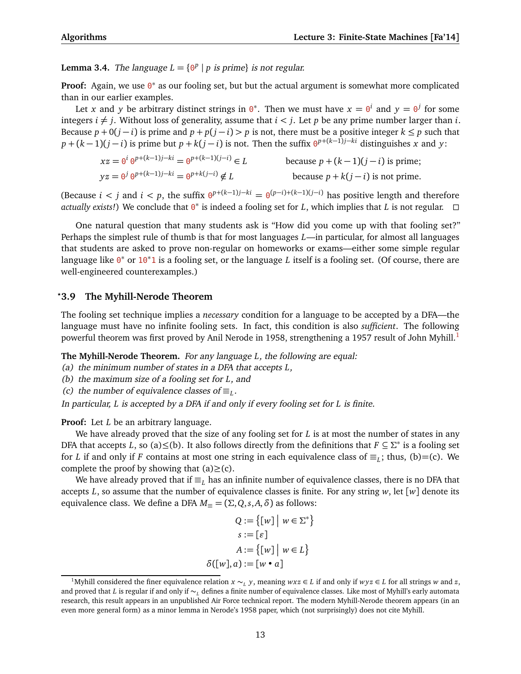**Lemma 3.4.** The language  $L = \{0^p | p \text{ is prime}\}$  is not regular.

**Proof:** Again, we use <sup>o\*</sup> as our fooling set, but but the actual argument is somewhat more complicated than in our earlier examples.

Let *x* and *y* be arbitrary distinct strings in  $0^*$ . Then we must have  $x = 0^i$  and  $y = 0^j$  for some integers  $i \neq j$ . Without loss of generality, assume that  $i < j$ . Let *p* be any prime number larger than *i*. Because  $p + 0(j - i)$  is prime and  $p + p(j - i) > p$  is not, there must be a positive integer  $k \leq p$  such that  $p + (k-1)(j-i)$  is prime but  $p + k(j-i)$  is not. Then the suffix  $\theta^{p+(k-1)j-ki}$  distinguishes *x* and *y*:

 $xz = \theta^i \theta^{p+(k-1)j-ki} = \theta$  $\frac{1}{p} + (k-1)(j-i)$  is prime;  $yz = 0^j 0^{p+(k-1)j-ki} = 0^{p+k(j-i)}$ because  $p + k(j - i)$  is not prime.

(Because *i* < *j* and *i* < *p*, the suffix  $\theta^{p+(k-1)j-k} = \theta^{(p-i)+(k-1)(j-i)}$  has positive length and therefore actually exists!) We conclude that  $\theta^*$  is indeed a fooling set for *L*, which implies that *L* is not regular. □

One natural question that many students ask is "How did you come up with that fooling set?" Perhaps the simplest rule of thumb is that for most languages *L*—in particular, for almost all languages that students are asked to prove non-regular on homeworks or exams—either some simple regular language like 0<sup>\*</sup> or 10<sup>\*</sup>1 is a fooling set, or the language *L* itself is a fooling set. (Of course, there are well-engineered counterexamples.)

### *?***3.9 The Myhill-Nerode Theorem**

The fooling set technique implies a *necessary* condition for a language to be accepted by a DFA—the language must have no infinite fooling sets. In fact, this condition is also *sufficient*. The following powerful theorem was first proved by Anil Nerode in [1](#page-12-0)958, strengthening a 1957 result of John Myhill.<sup>1</sup>

**The Myhill-Nerode Theorem.** For any language *L*, the following are equal:

(a) the minimum number of states in a DFA that accepts *L*,

(b) the maximum size of a fooling set for *L*, and

(c) the number of equivalence classes of  $\equiv_L$ .

In particular, *L* is accepted by a DFA if and only if every fooling set for *L* is finite.

**Proof:** Let *L* be an arbitrary language.

We have already proved that the size of any fooling set for *L* is at most the number of states in any DFA that accepts *L*, so (a) ≤(b). It also follows directly from the definitions that  $F \subseteq \Sigma^*$  is a fooling set for *L* if and only if *F* contains at most one string in each equivalence class of  $\equiv_L$ ; thus, (b)=(c). We complete the proof by showing that  $(a) \geq (c)$ .

We have already proved that if  $\equiv_L$  has an infinite number of equivalence classes, there is no DFA that accepts *L*, so assume that the number of equivalence classes is finite. For any string *w*, let [*w*] denote its equivalence class. We define a DFA  $M_{\equiv} = (\Sigma, Q, s, A, \delta)$  as follows:

$$
Q := \{ [w] \mid w \in \Sigma^* \}
$$

$$
s := [e]
$$

$$
A := \{ [w] \mid w \in L \}
$$

$$
\delta([w], a) := [w \cdot a]
$$

<span id="page-12-0"></span><sup>&</sup>lt;sup>1</sup>Myhill considered the finer equivalence relation *x* ∼*<sub>L</sub> y*, meaning *wxz* ∈ *L* if and only if *wyz* ∈ *L* for all strings *w* and *z*, and proved that *L* is regular if and only if ∼*<sup>L</sup>* defines a finite number of equivalence classes. Like most of Myhill's early automata research, this result appears in an unpublished Air Force technical report. The modern Myhill-Nerode theorem appears (in an even more general form) as a minor lemma in Nerode's 1958 paper, which (not surprisingly) does not cite Myhill.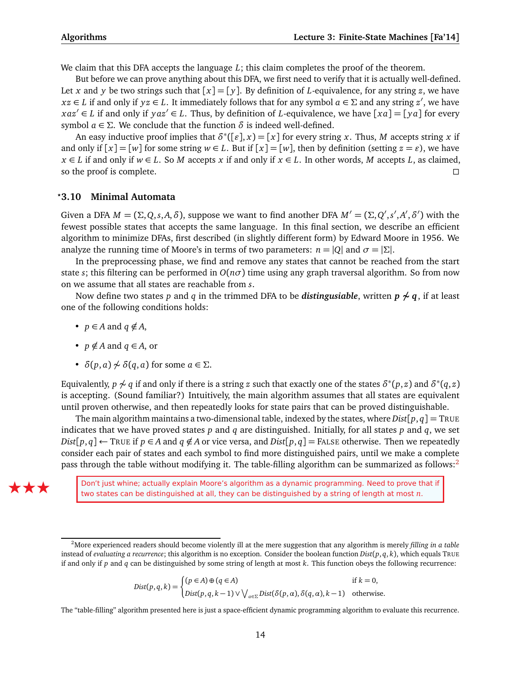We claim that this DFA accepts the language *L*; this claim completes the proof of the theorem.

But before we can prove anything about this DFA, we first need to verify that it is actually well-defined. Let *x* and *y* be two strings such that  $[x] = [y]$ . By definition of *L*-equivalence, for any string *z*, we have  $xz \in L$  if and only if  $yz \in L$ . It immediately follows that for any symbol  $a \in \Sigma$  and any string  $z'$ , we have  $xaz \in L$  if and only if  $yaz \in L$ . Thus, by definition of *L*-equivalence, we have  $[xa] = [ya]$  for every symbol *a*  $\in$  Σ. We conclude that the function *δ* is indeed well-defined.

An easy inductive proof implies that  $\delta^*([\varepsilon], x) = [x]$  for every string *x*. Thus, *M* accepts string *x* if and only if  $[x] = [w]$  for some string  $w \in L$ . But if  $[x] = [w]$ , then by definition (setting  $z = \varepsilon$ ), we have *x* ∈ *L* if and only if *w* ∈ *L*. So *M* accepts *x* if and only if *x* ∈ *L*. In other words, *M* accepts *L*, as claimed, so the proof is complete.  $\Box$ 

### **3.10 Minimal Automata** *?*

Given a DFA  $M = (\Sigma, Q, s, A, \delta)$ , suppose we want to find another DFA  $M' = (\Sigma, Q', s', A', \delta')$  with the fewest possible states that accepts the same language. In this final section, we describe an efficient algorithm to minimize DFAs, first described (in slightly different form) by Edward Moore in 1956. We analyze the running time of Moore's in terms of two parameters:  $n = |Q|$  and  $\sigma = |\Sigma|$ .

In the preprocessing phase, we find and remove any states that cannot be reached from the start state *s*; this filtering can be performed in *O*(*nσ*) time using any graph traversal algorithm. So from now on we assume that all states are reachable from *s*.

Now define two states *p* and *q* in the trimmed DFA to be *distingusiable*, written *p* **6∼** *q*, if at least one of the following conditions holds:

- $p \in A$  and  $q \notin A$ ,
- $p \notin A$  and  $q \in A$ , or
- $\delta(p, a) \not\sim \delta(q, a)$  for some  $a \in \Sigma$ .

Equivalently,  $p\not\sim q$  if and only if there is a string  $z$  such that exactly one of the states  $\delta^*(p,z)$  and  $\delta^*(q,z)$ is accepting. (Sound familiar?) Intuitively, the main algorithm assumes that all states are equivalent until proven otherwise, and then repeatedly looks for state pairs that can be proved distinguishable.

The main algorithm maintains a two-dimensional table, indexed by the states, where  $Dist[p,q] = TRUE$ indicates that we have proved states *p* and *q* are distinguished. Initially, for all states *p* and *q*, we set *Dist*[ $p, q$ ] ← TRUE if  $p \in A$  and  $q \notin A$  or vice versa, and *Dist*[ $p, q$ ] = FALSE otherwise. Then we repeatedly consider each pair of states and each symbol to find more distinguished pairs, until we make a complete pass through the table without modifying it. The table-filling algorithm can be summarized as follows:<sup>[2](#page-13-0)</sup>



EXE≹ERE TWO Don't just whine; actually explain Moore's algorithm as a dynamic programming. Need to prove that if two states can be distinguished at all, they can be distinguished by a string of length at most *n*.

$$
Dist(p,q,k) = \begin{cases} (p \in A) \oplus (q \in A) & \text{if } k = 0, \\ Dist(p,q,k-1) \vee \bigvee_{a \in \Sigma} Dist(\delta(p,a), \delta(q,a), k-1) & \text{otherwise.} \end{cases}
$$

The "table-filling" algorithm presented here is just a space-efficient dynamic programming algorithm to evaluate this recurrence.

<span id="page-13-0"></span><sup>2</sup>More experienced readers should become violently ill at the mere suggestion that any algorithm is merely *filling in a table* instead of *evaluating a recurrence*; this algorithm is no exception. Consider the boolean function *Dist*(*p*, *q*, *k*), which equals TRUE if and only if *p* and *q* can be distinguished by some string of length at most *k*. This function obeys the following recurrence: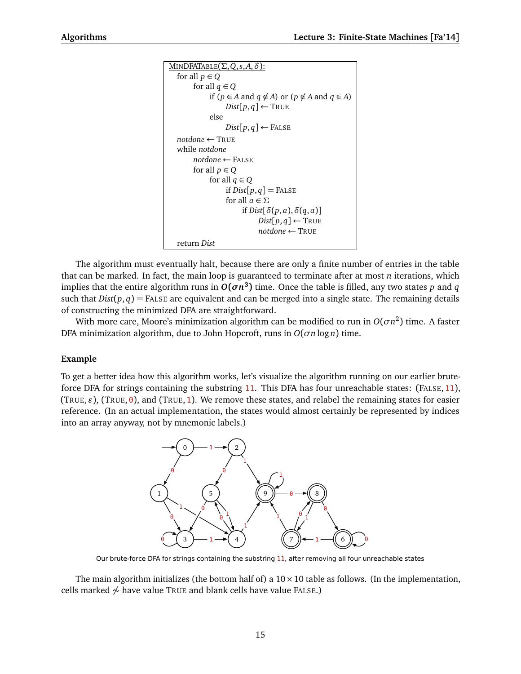```
MINDFATABLE(Σ,Q,s,A,δ):
  for all p \in Qfor all q \in Qif (p ∈ A and q ∉ A) or (p ∉ A and q ∈ A)
                   Dist[p, q] \leftarrow \text{TRUE}else
                   Dist[p,q] \leftarrow FALSE
  notdone ← TRUE
  while notdone
        notdone ← FALSE
        for all p \in Qfor all q \in Qif Dist[p, q] = FALSE
                   for all a \in \Sigmaif Dist[\delta(p, a), \delta(q, a)]Dist[p, q] \leftarrow \text{TRUE}notdone ← TRUE
  return Dist
```
The algorithm must eventually halt, because there are only a finite number of entries in the table that can be marked. In fact, the main loop is guaranteed to terminate after at most *n* iterations, which implies that the entire algorithm runs in  $O(\sigma n^3)$  time. Once the table is filled, any two states  $p$  and  $q$ such that  $Dist(p, q) =$  FALSE are equivalent and can be merged into a single state. The remaining details of constructing the minimized DFA are straightforward.

With more care, Moore's minimization algorithm can be modified to run in  $O(\sigma n^2)$  time. A faster DFA minimization algorithm, due to John Hopcroft, runs in *O*(*σn* log *n*) time.

### **Example**

To get a better idea how this algorithm works, let's visualize the algorithm running on our earlier bruteforce DFA for strings containing the substring 11. This DFA has four unreachable states: (FALSE, 11),  $(TRUE, \varepsilon)$ ,  $(TRUE, 0)$ , and  $(TRUE, 1)$ . We remove these states, and relabel the remaining states for easier reference. (In an actual implementation, the states would almost certainly be represented by indices into an array anyway, not by mnemonic labels.)



Our brute-force DFA for strings containing the substring 11, after removing all four unreachable states

The main algorithm initializes (the bottom half of) a  $10 \times 10$  table as follows. (In the implementation, cells marked  $\sim$  have value TRUE and blank cells have value FALSE.)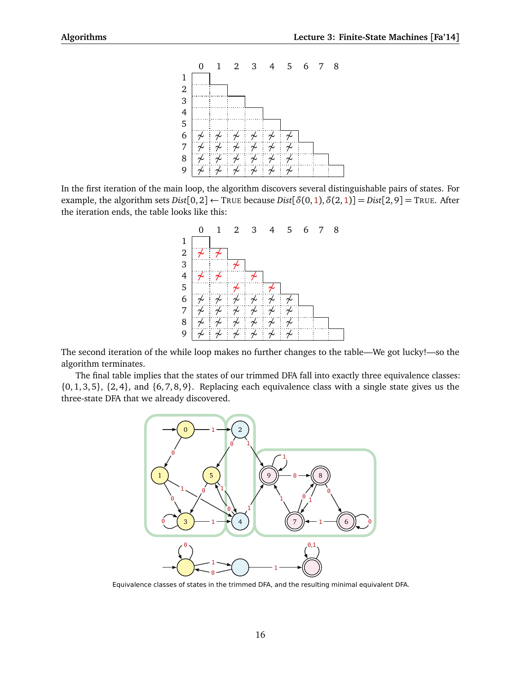

In the first iteration of the main loop, the algorithm discovers several distinguishable pairs of states. For example, the algorithm sets  $Dist[0,2] \leftarrow$  TRUE because  $Dist[ $\delta(0,1), \delta(2,1)$ ] =  $Dist[2,9]$  = TRUE. After$ the iteration ends, the table looks like this:



The second iteration of the while loop makes no further changes to the table—We got lucky!—so the algorithm terminates.

The final table implies that the states of our trimmed DFA fall into exactly three equivalence classes:  ${0, 1, 3, 5}$ ,  ${2, 4}$ , and  ${6, 7, 8, 9}$ . Replacing each equivalence class with a single state gives us the three-state DFA that we already discovered.



Equivalence classes of states in the trimmed DFA, and the resulting minimal equivalent DFA.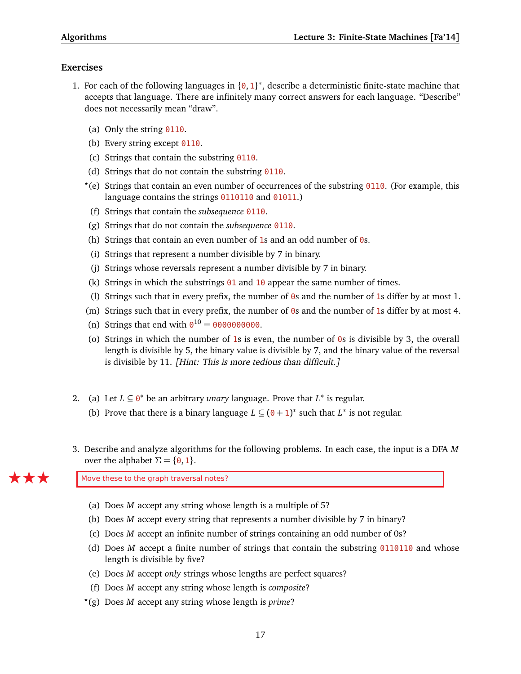# **Exercises**

- 1. For each of the following languages in  $\{0,1\}^*$ , describe a deterministic finite-state machine that accepts that language. There are infinitely many correct answers for each language. "Describe" does not necessarily mean "draw".
	- (a) Only the string 0110.
	- (b) Every string except 0110.
	- (c) Strings that contain the substring 0110.
	- (d) Strings that do not contain the substring  $0110$ .
	- *?* (e) Strings that contain an even number of occurrences of the substring 0110. (For example, this language contains the strings 0110110 and 01011.)
	- (f) Strings that contain the *subsequence* 0110.
	- (g) Strings that do not contain the *subsequence* 0110.
	- (h) Strings that contain an even number of 1s and an odd number of  $\theta$ s.
	- (i) Strings that represent a number divisible by 7 in binary.
	- (j) Strings whose reversals represent a number divisible by 7 in binary.
	- (k) Strings in which the substrings  $01$  and  $10$  appear the same number of times.
	- (l) Strings such that in every prefix, the number of 0s and the number of 1s differ by at most 1.
	- (m) Strings such that in every prefix, the number of  $\theta$ s and the number of 1s differ by at most 4.
	- (n) Strings that end with  $0^{10} = 0000000000$ .
	- (o) Strings in which the number of 1s is even, the number of  $\theta$ s is divisible by 3, the overall length is divisible by 5, the binary value is divisible by 7, and the binary value of the reversal is divisible by 11. [Hint: This is more tedious than difficult.]
- 2. (a) Let  $L \subseteq \mathbf{0}^*$  be an arbitrary *unary* language. Prove that  $L^*$  is regular. (b) Prove that there is a binary language  $L \subseteq (0+1)^*$  such that  $L^*$  is not regular.
- 3. Describe and analyze algorithms for the following problems. In each case, the input is a DFA *M* over the alphabet  $\Sigma = \{0, 1\}$ .

Move these to the graph traversal notes?

- (a) Does *M* accept any string whose length is a multiple of 5?
- (b) Does *M* accept every string that represents a number divisible by 7 in binary?
- (c) Does *M* accept an infinite number of strings containing an odd number of 0s?
- (d) Does *M* accept a finite number of strings that contain the substring 0110110 and whose length is divisible by five?
- (e) Does *M* accept *only* strings whose lengths are perfect squares?
- (f) Does *M* accept any string whose length is *composite*?
- *?* (g) Does *M* accept any string whose length is *prime*?

17